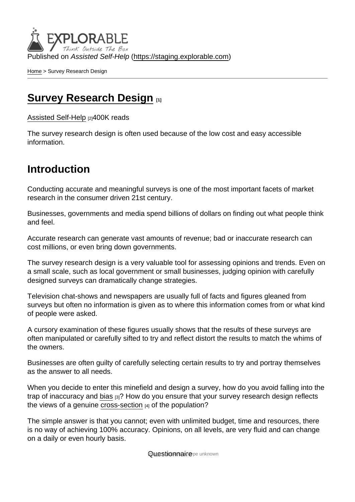Published on Assisted Self-Help [\(https://staging.explorable.com](https://staging.explorable.com))

[Home](https://staging.explorable.com/en) > Survey Research Design

#### [Survey Research Design](https://staging.explorable.com/en/survey-research-design) [1]

[Assisted Self-Help](https://staging.explorable.com/en) [2]400K reads

The survey research design is often used because of the low cost and easy accessible information.

#### Introduction

Conducting accurate and meaningful surveys is one of the most important facets of market research in the consumer driven 21st century.

Businesses, governments and media spend billions of dollars on finding out what people think and feel.

Accurate research can generate vast amounts of revenue; bad or inaccurate research can cost millions, or even bring down governments.

The survey research design is a very valuable tool for assessing opinions and trends. Even on a small scale, such as local government or small businesses, judging opinion with carefully designed surveys can dramatically change strategies.

Television chat-shows and newspapers are usually full of facts and figures gleaned from surveys but often no information is given as to where this information comes from or what kind of people were asked.

A cursory examination of these figures usually shows that the results of these surveys are often manipulated or carefully sifted to try and reflect distort the results to match the whims of the owners.

Businesses are often guilty of carefully selecting certain results to try and portray themselves as the answer to all needs.

When you decide to enter this minefield and design a survey, how do you avoid falling into the trap of inaccuracy and [bias](https://staging.explorable.com/research-bias)  $[3]$ ? How do you ensure that your survey research design reflects the views of a genuine [cross-section](https://staging.explorable.com/cross-sectional-study)  $A_1$  of the population?

The simple answer is that you cannot; even with unlimited budget, time and resources, there is no way of achieving 100% accuracy. Opinions, on all levels, are very fluid and can change on a daily or even hourly basis.

**Mane strictmind or eype unknown**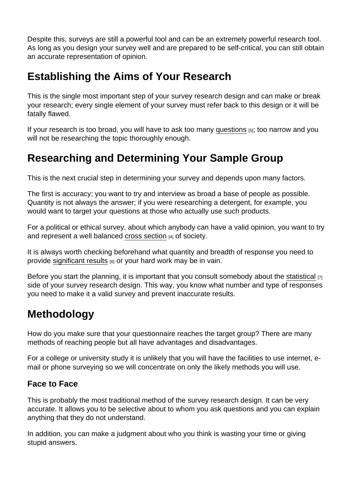Despite this, surveys are still a powerful tool and can be an extremely powerful research tool. As long as you design your survey well and are prepared to be self-critical, you can still obtain an accurate representation of opinion.

# Establishing the Aims of Your Research

This is the single most important step of your survey research design and can make or break your research; every single element of your survey must refer back to this design or it will be fatally flawed.

If your research is too broad, you will have to ask too many [questions](https://staging.explorable.com/defining-a-research-problem) [5]; too narrow and you will not be researching the topic thoroughly enough.

# Researching and Determining Your Sample Group

This is the next crucial step in determining your survey and depends upon many factors.

The first is accuracy; you want to try and interview as broad a base of people as possible. Quantity is not always the answer; if you were researching a detergent, for example, you would want to target your questions at those who actually use such products.

For a political or ethical survey, about which anybody can have a valid opinion, you want to try and represent a well balanced [cross section](https://staging.explorable.com/cross-sectional-study) [4] of society.

It is always worth checking beforehand what quantity and breadth of response you need to provide [significant results](https://staging.explorable.com/statistically-significant-results) [6] or your hard work may be in vain.

Before you start the planning, it is important that you consult somebody about the [statistical](https://staging.explorable.com/statistics-tutorial)  $_{[7]}$ side of your survey research design. This way, you know what number and type of responses you need to make it a valid survey and prevent inaccurate results.

## Methodology

How do you make sure that your questionnaire reaches the target group? There are many methods of reaching people but all have advantages and disadvantages.

For a college or university study it is unlikely that you will have the facilities to use internet, email or phone surveying so we will concentrate on only the likely methods you will use.

#### Face to Face

This is probably the most traditional method of the survey research design. It can be very accurate. It allows you to be selective about to whom you ask questions and you can explain anything that they do not understand.

In addition, you can make a judgment about who you think is wasting your time or giving stupid answers.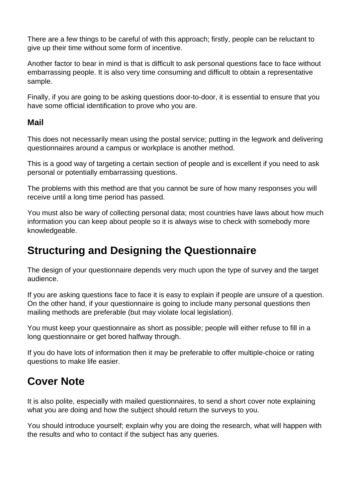There are a few things to be careful of with this approach; firstly, people can be reluctant to give up their time without some form of incentive.

Another factor to bear in mind is that is difficult to ask personal questions face to face without embarrassing people. It is also very time consuming and difficult to obtain a representative sample.

Finally, if you are going to be asking questions door-to-door, it is essential to ensure that you have some official identification to prove who you are.

#### **Mail**

This does not necessarily mean using the postal service; putting in the legwork and delivering questionnaires around a campus or workplace is another method.

This is a good way of targeting a certain section of people and is excellent if you need to ask personal or potentially embarrassing questions.

The problems with this method are that you cannot be sure of how many responses you will receive until a long time period has passed.

You must also be wary of collecting personal data; most countries have laws about how much information you can keep about people so it is always wise to check with somebody more knowledgeable.

### **Structuring and Designing the Questionnaire**

The design of your questionnaire depends very much upon the type of survey and the target audience.

If you are asking questions face to face it is easy to explain if people are unsure of a question. On the other hand, if your questionnaire is going to include many personal questions then mailing methods are preferable (but may violate local legislation).

You must keep your questionnaire as short as possible; people will either refuse to fill in a long questionnaire or get bored halfway through.

If you do have lots of information then it may be preferable to offer multiple-choice or rating questions to make life easier.

## **Cover Note**

It is also polite, especially with mailed questionnaires, to send a short cover note explaining what you are doing and how the subject should return the surveys to you.

You should introduce yourself; explain why you are doing the research, what will happen with the results and who to contact if the subject has any queries.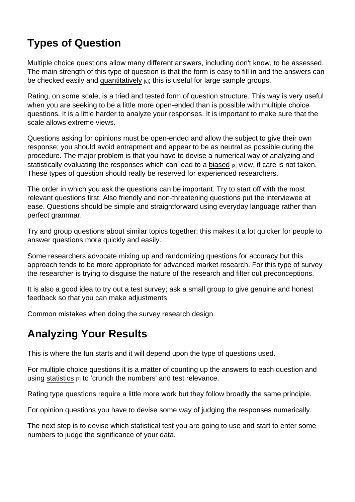# Types of Question

Multiple choice questions allow many different answers, including don't know, to be assessed. The main strength of this type of question is that the form is easy to fill in and the answers can be checked easily and [quantitatively](https://staging.explorable.com/quantitative-research-design) [8]; this is useful for large sample groups.

Rating, on some scale, is a tried and tested form of question structure. This way is very useful when you are seeking to be a little more open-ended than is possible with multiple choice questions. It is a little harder to analyze your responses. It is important to make sure that the scale allows extreme views.

Questions asking for opinions must be open-ended and allow the subject to give their own response; you should avoid entrapment and appear to be as neutral as possible during the procedure. The major problem is that you have to devise a numerical way of analyzing and statistically evaluating the responses which can lead to a [biased](https://staging.explorable.com/research-bias) [3] view, if care is not taken. These types of question should really be reserved for experienced researchers.

The order in which you ask the questions can be important. Try to start off with the most relevant questions first. Also friendly and non-threatening questions put the interviewee at ease. Questions should be simple and straightforward using everyday language rather than perfect grammar.

Try and group questions about similar topics together; this makes it a lot quicker for people to answer questions more quickly and easily.

Some researchers advocate mixing up and randomizing questions for accuracy but this approach tends to be more appropriate for advanced market research. For this type of survey the researcher is trying to disguise the nature of the research and filter out preconceptions.

It is also a good idea to try out a test survey; ask a small group to give genuine and honest feedback so that you can make adjustments.

Common mistakes when doing the survey research design.

# Analyzing Your Results

This is where the fun starts and it will depend upon the type of questions used.

For multiple choice questions it is a matter of counting up the answers to each question and using [statistics](https://staging.explorable.com/statistics-tutorial)  $_{[7]}$  to 'crunch the numbers' and test relevance.

Rating type questions require a little more work but they follow broadly the same principle.

For opinion questions you have to devise some way of judging the responses numerically.

The next step is to devise which statistical test you are going to use and start to enter some numbers to judge the significance of your data.